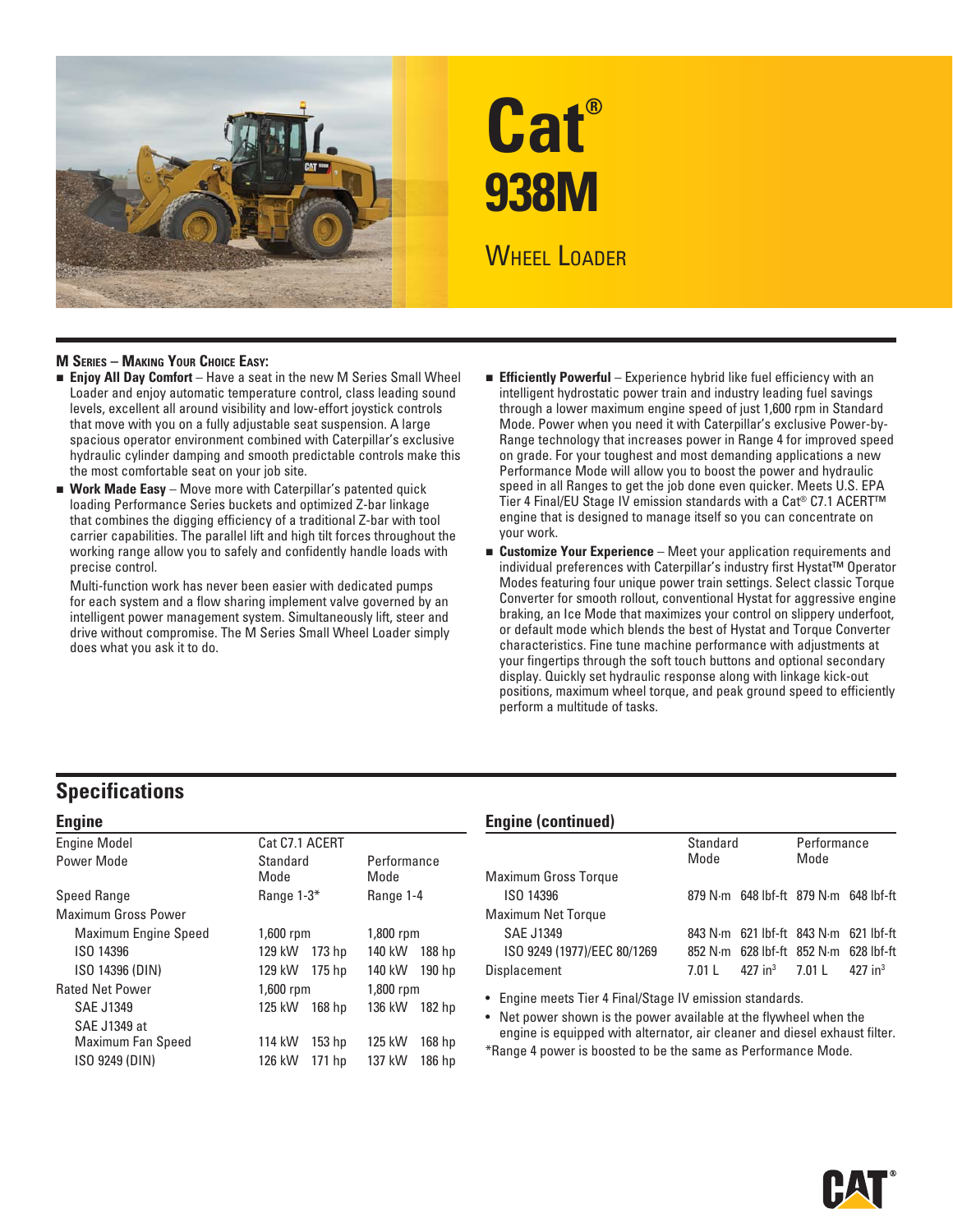

# **Cat® 938M WHEEL LOADER**

## **M SERIES – MAKING YOUR CHOICE EASY:**

- **Enjoy All Day Comfort** Have a seat in the new M Series Small Wheel Loader and enjoy automatic temperature control, class leading sound levels, excellent all around visibility and low-effort joystick controls that move with you on a fully adjustable seat suspension. A large spacious operator environment combined with Caterpillar's exclusive hydraulic cylinder damping and smooth predictable controls make this the most comfortable seat on your job site.
- **Work Made Easy** Move more with Caterpillar's patented quick loading Performance Series buckets and optimized Z-bar linkage that combines the digging efficiency of a traditional Z-bar with tool carrier capabilities. The parallel lift and high tilt forces throughout the working range allow you to safely and confidently handle loads with precise control.

Multi-function work has never been easier with dedicated pumps for each system and a flow sharing implement valve governed by an intelligent power management system. Simultaneously lift, steer and drive without compromise. The M Series Small Wheel Loader simply does what you ask it to do.

- **Efficiently Powerful** Experience hybrid like fuel efficiency with an intelligent hydrostatic power train and industry leading fuel savings through a lower maximum engine speed of just 1,600 rpm in Standard Mode. Power when you need it with Caterpillar's exclusive Power-by-Range technology that increases power in Range 4 for improved speed on grade. For your toughest and most demanding applications a new Performance Mode will allow you to boost the power and hydraulic speed in all Ranges to get the job done even quicker. Meets U.S. EPA Tier 4 Final/EU Stage IV emission standards with a Cat® C7.1 ACERT™ engine that is designed to manage itself so you can concentrate on your work.
- **Customize Your Experience** Meet your application requirements and individual preferences with Caterpillar's industry first Hystat™ Operator Modes featuring four unique power train settings. Select classic Torque Converter for smooth rollout, conventional Hystat for aggressive engine braking, an Ice Mode that maximizes your control on slippery underfoot, or default mode which blends the best of Hystat and Torque Converter characteristics. Fine tune machine performance with adjustments at your fingertips through the soft touch buttons and optional secondary display. Quickly set hydraulic response along with linkage kick-out positions, maximum wheel torque, and peak ground speed to efficiently perform a multitude of tasks.

## **Specifications**

| <b>Engine</b>               |                             |                     |
|-----------------------------|-----------------------------|---------------------|
| <b>Engine Model</b>         | Cat C7.1 ACERT              |                     |
| Power Mode                  | Standard<br>Mode            | Performance<br>Mode |
| Speed Range                 | Range 1-3*                  | Range 1-4           |
| <b>Maximum Gross Power</b>  |                             |                     |
| <b>Maximum Engine Speed</b> | $1,600$ rpm                 | 1,800 rpm           |
| ISO 14396                   | 173 hp<br>129 kW            | 140 kW<br>188 hp    |
| ISO 14396 (DIN)             | 175 hp<br>129 kW            | 140 kW<br>190 hp    |
| <b>Rated Net Power</b>      | $1,600$ rpm                 | 1,800 rpm           |
| <b>SAE J1349</b>            | 125 kW<br>168 hp            | 136 kW<br>182 hp    |
| SAE J1349 at                |                             |                     |
| Maximum Fan Speed           | 114 kW<br>153 <sub>hp</sub> | 125 kW<br>168 hp    |
| ISO 9249 (DIN)              | 126 kW<br>171 hp            | 137 kW<br>186 hp    |
|                             |                             |                     |

## **Engine (continued)**

| Standard<br>Mode |  | Performance<br>Mode |                                                                                                                                                                          |
|------------------|--|---------------------|--------------------------------------------------------------------------------------------------------------------------------------------------------------------------|
|                  |  |                     |                                                                                                                                                                          |
|                  |  |                     |                                                                                                                                                                          |
|                  |  |                     |                                                                                                                                                                          |
|                  |  |                     |                                                                                                                                                                          |
|                  |  |                     |                                                                                                                                                                          |
| 7 01 L           |  |                     |                                                                                                                                                                          |
|                  |  |                     | 879 N·m 648 lbf-ft 879 N·m 648 lbf-ft<br>843 N·m 621 lbf-ft 843 N·m 621 lbf-ft<br>852 N·m 628 lbf-ft 852 N·m 628 lbf-ft<br>$427 \text{ in}^3$ 7.01 L 427 in <sup>3</sup> |

• Engine meets Tier 4 Final/Stage IV emission standards.

• Net power shown is the power available at the flywheel when the engine is equipped with alternator, air cleaner and diesel exhaust filter.

\*Range 4 power is boosted to be the same as Performance Mode.

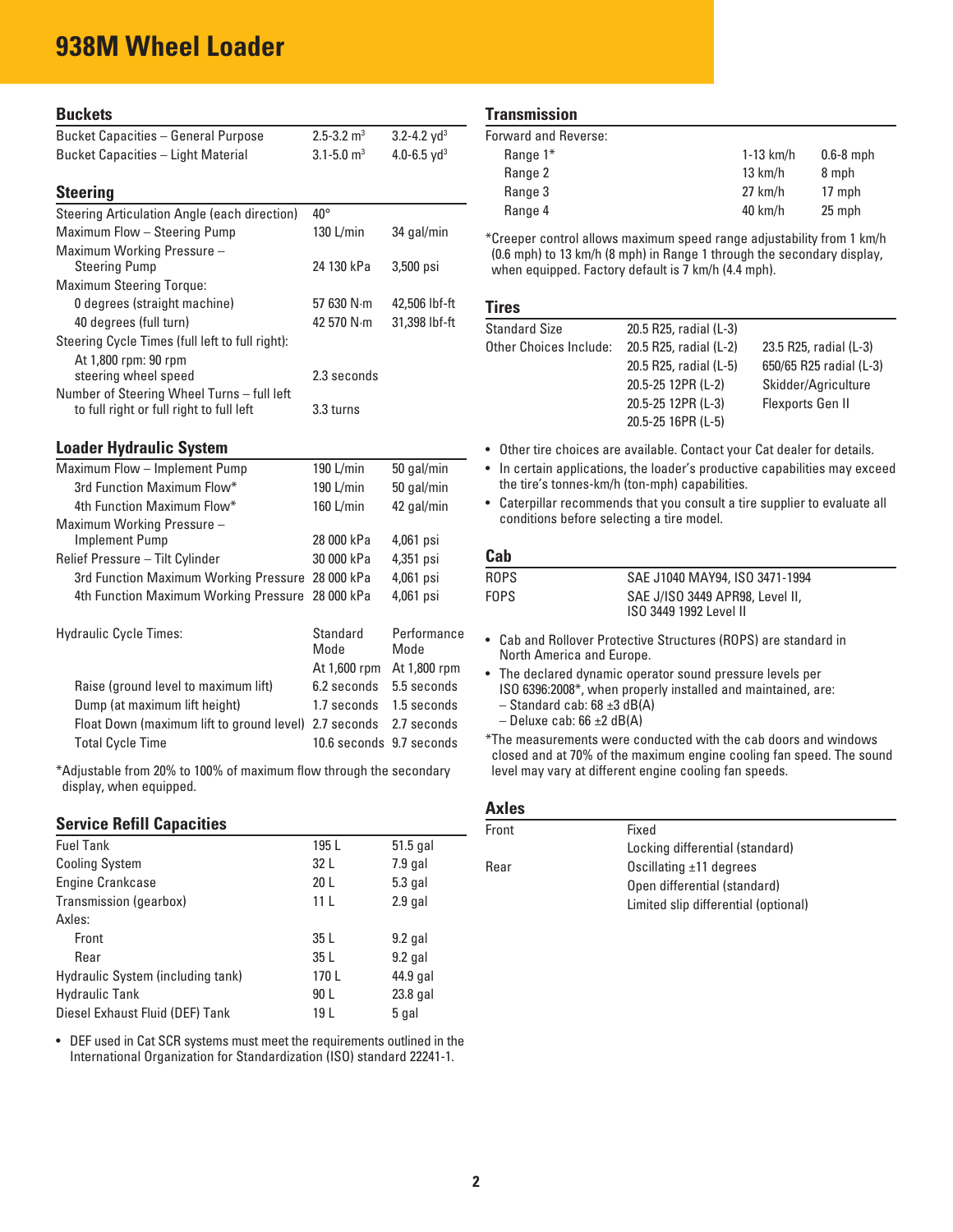## **938M Wheel Loader**

| <b>Buckets</b>                                                                         |                            |                             |  |
|----------------------------------------------------------------------------------------|----------------------------|-----------------------------|--|
| <b>Bucket Capacities - General Purpose</b>                                             | $2.5 - 3.2$ m <sup>3</sup> | $3.2 - 4.2$ yd <sup>3</sup> |  |
| <b>Bucket Capacities - Light Material</b>                                              | $3.1 - 5.0$ m <sup>3</sup> | 4.0-6.5 $yd^3$              |  |
| <b>Steering</b>                                                                        |                            |                             |  |
| Steering Articulation Angle (each direction)                                           | $40^{\circ}$               |                             |  |
| Maximum Flow - Steering Pump                                                           | 130 L/min                  | 34 gal/min                  |  |
| Maximum Working Pressure -<br><b>Steering Pump</b>                                     | 24 130 kPa                 | 3,500 psi                   |  |
| <b>Maximum Steering Torque:</b>                                                        |                            |                             |  |
| 0 degrees (straight machine)                                                           | 57 630 N·m                 | 42,506 lbf-ft               |  |
| 40 degrees (full turn)                                                                 | 42 570 N·m                 | 31,398 lbf-ft               |  |
| Steering Cycle Times (full left to full right):                                        |                            |                             |  |
| At 1,800 rpm: 90 rpm                                                                   |                            |                             |  |
| steering wheel speed                                                                   | 2.3 seconds                |                             |  |
| Number of Steering Wheel Turns - full left<br>to full right or full right to full left | 3.3 turns                  |                             |  |
| <b>Loader Hydraulic System</b>                                                         |                            |                             |  |
| Maximum Flow - Implement Pump                                                          | 190 L/min                  | 50 gal/min                  |  |
| 3rd Function Maximum Flow*                                                             | 190 L/min                  | 50 gal/min                  |  |
| 4th Function Maximum Flow*                                                             | 160 L/min                  | 42 gal/min                  |  |
| Maximum Working Pressure -                                                             |                            |                             |  |
| <b>Implement Pump</b>                                                                  | 28 000 kPa                 | 4,061 psi                   |  |
| Relief Pressure - Tilt Cylinder                                                        | 30 000 kPa                 | 4,351 psi                   |  |
| 3rd Function Maximum Working Pressure 28 000 kPa                                       |                            | 4,061 psi                   |  |
| 4th Function Maximum Working Pressure                                                  | 28 000 kPa                 | 4,061 psi                   |  |
| <b>Hydraulic Cycle Times:</b>                                                          | Standard<br>Mode           | Performance<br>Mode         |  |
|                                                                                        | At 1,600 rpm               | At 1,800 rpm                |  |
| Raise (ground level to maximum lift)                                                   | 6.2 seconds                | 5.5 seconds                 |  |
| Dump (at maximum lift height)                                                          | 1.7 seconds                | 1.5 seconds                 |  |
| Float Down (maximum lift to ground level)                                              | 2.7 seconds                | 2.7 seconds                 |  |
| <b>Total Cycle Time</b>                                                                | 10.6 seconds               | 9.7 seconds                 |  |

\*Adjustable from 20% to 100% of maximum flow through the secondary display, when equipped.

## **Service Refill Capacities**

| <b>Fuel Tank</b>                  | 195 L           | $51.5$ gal |
|-----------------------------------|-----------------|------------|
| <b>Cooling System</b>             | 32 L            | $7.9$ gal  |
| <b>Engine Crankcase</b>           | 20 <sub>L</sub> | $5.3$ gal  |
| Transmission (gearbox)            | 11 <sub>L</sub> | $2.9$ gal  |
| Axles:                            |                 |            |
| Front                             | 35L             | $9.2$ gal  |
| Rear                              | 35 L            | $9.2$ gal  |
| Hydraulic System (including tank) | 170L            | 44.9 gal   |
| <b>Hydraulic Tank</b>             | 90 L            | 23.8 gal   |
| Diesel Exhaust Fluid (DEF) Tank   | 19 L            | 5 gal      |
|                                   |                 |            |

 • DEF used in Cat SCR systems must meet the requirements outlined in the International Organization for Standardization (ISO) standard 22241-1.

#### **Transmission**

| Forward and Reverse: |                   |             |
|----------------------|-------------------|-------------|
| Range $1^*$          | $1-13$ km/h       | $0.6-8$ mph |
| Range 2              | $13 \text{ km/h}$ | 8 mph       |
| Range 3              | $27$ km/h         | 17 mph      |
| Range 4              | $40 \text{ km/h}$ | 25 mph      |
|                      |                   |             |

\*Creeper control allows maximum speed range adjustability from 1 km/h (0.6 mph) to 13 km/h (8 mph) in Range 1 through the secondary display, when equipped. Factory default is 7 km/h (4.4 mph).

## **Tires**

| <b>Standard Size</b>   | 20.5 R25, radial (L-3) |                         |
|------------------------|------------------------|-------------------------|
| Other Choices Include: | 20.5 R25, radial (L-2) | 23.5 R25, radial (L-3)  |
|                        | 20.5 R25, radial (L-5) | 650/65 R25 radial (L-3) |
|                        | 20.5-25 12PR (L-2)     | Skidder/Agriculture     |
|                        | 20.5-25 12PR (L-3)     | Flexports Gen II        |
|                        | 20.5-25 16PR (L-5)     |                         |

- Other tire choices are available. Contact your Cat dealer for details.
- In certain applications, the loader's productive capabilities may exceed the tire's tonnes-km/h (ton-mph) capabilities.
- Caterpillar recommends that you consult a tire supplier to evaluate all conditions before selecting a tire model.

## **Cab**

| ROPS  | SAE J1040 MAY94, ISO 3471-1994                            |  |
|-------|-----------------------------------------------------------|--|
| FOPS. | SAE J/ISO 3449 APR98, Level II,<br>ISO 3449 1992 Level II |  |
|       |                                                           |  |

- Cab and Rollover Protective Structures (ROPS) are standard in North America and Europe.
- The declared dynamic operator sound pressure levels per ISO 6396:2008\*, when properly installed and maintained, are:  $-$  Standard cab: 68  $\pm$ 3 dB(A)
	- $-$  Deluxe cab: 66  $\pm$ 2 dB(A)
- \*The measurements were conducted with the cab doors and windows closed and at 70% of the maximum engine cooling fan speed. The sound level may vary at different engine cooling fan speeds.

#### **Axles**

| Front | Fixed                                |
|-------|--------------------------------------|
|       | Locking differential (standard)      |
| Rear  | Oscillating $\pm$ 11 degrees         |
|       | Open differential (standard)         |
|       | Limited slip differential (optional) |
|       |                                      |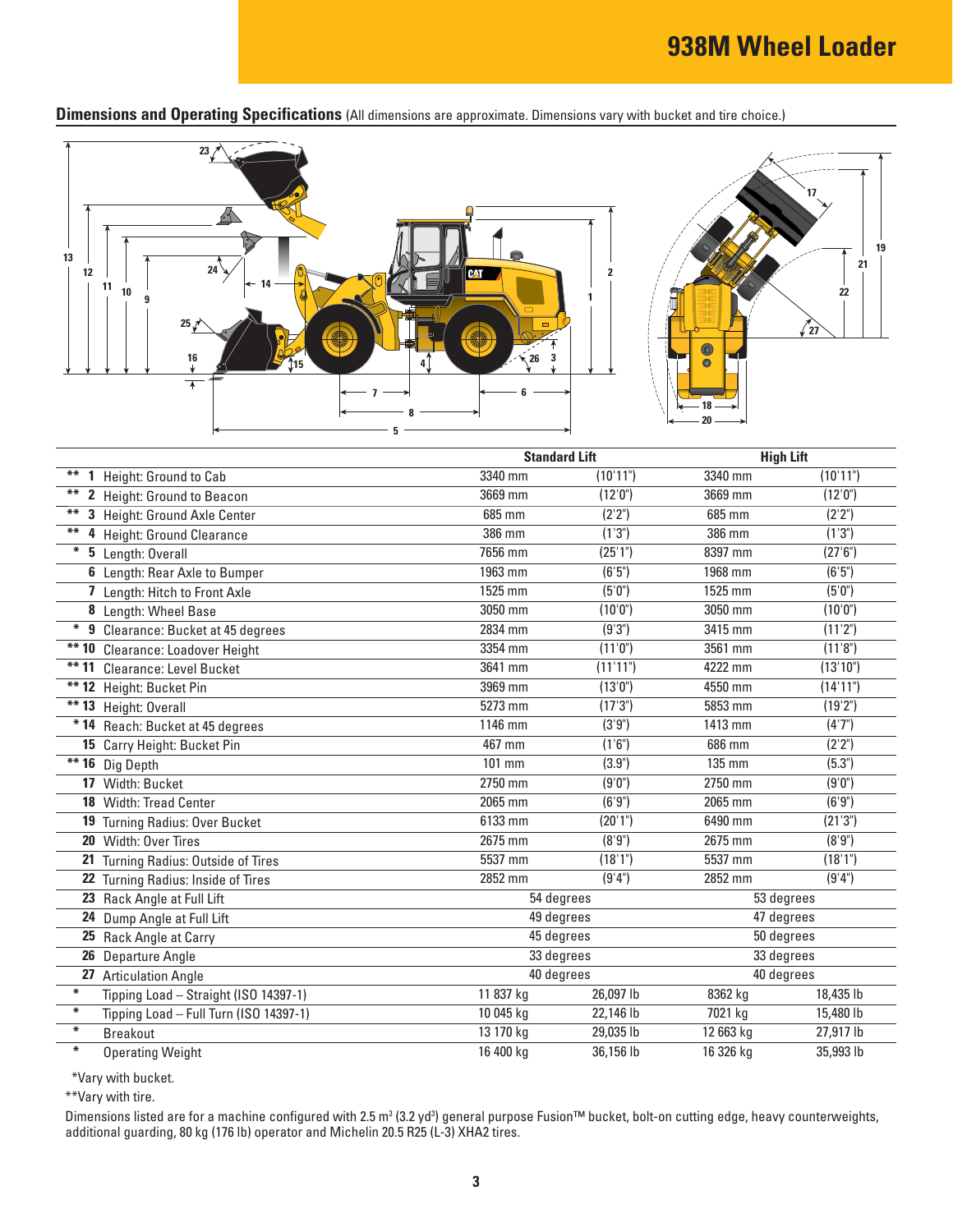**Dimensions and Operating Specifications** (All dimensions are approximate. Dimensions vary with bucket and tire choice.)



|             |                                        |            | <b>Standard Lift</b> |            | <b>High Lift</b> |  |
|-------------|----------------------------------------|------------|----------------------|------------|------------------|--|
| **          | 1 Height: Ground to Cab                | 3340 mm    | (10'11")             | 3340 mm    | (10'11")         |  |
| $***$       | 2 Height: Ground to Beacon             | 3669 mm    | (12'0")              | 3669 mm    | (12'0'')         |  |
| **          | 3 Height: Ground Axle Center           | 685 mm     | (2'2")               | 685 mm     | (2'2")           |  |
| **          | 4 Height: Ground Clearance             | 386 mm     | (1'3'')              | 386 mm     | (1'3")           |  |
| $\ast$      | 5 Length: Overall                      | 7656 mm    | (25'1")              | 8397 mm    | (27'6'')         |  |
|             | 6 Length: Rear Axle to Bumper          | 1963 mm    | (6'5")               | 1968 mm    | (6'5")           |  |
|             | 7 Length: Hitch to Front Axle          | 1525 mm    | (5'0")               | 1525 mm    | (5'0")           |  |
|             | 8 Length: Wheel Base                   | 3050 mm    | (10'0")              | 3050 mm    | (10'0")          |  |
| $\ast$<br>9 | Clearance: Bucket at 45 degrees        | 2834 mm    | (9'3")               | 3415 mm    | (11'2")          |  |
|             | ** 10 Clearance: Loadover Height       | 3354 mm    | (11'0")              | 3561 mm    | (11'8")          |  |
|             | ** 11 Clearance: Level Bucket          | 3641 mm    | (11'11")             | 4222 mm    | (13'10")         |  |
|             | ** 12 Height: Bucket Pin               | 3969 mm    | (13'0")              | 4550 mm    | (14'11")         |  |
|             | $**$ 13 Height: Overall                | 5273 mm    | (17'3")              | 5853 mm    | (19'2")          |  |
|             | * 14 Reach: Bucket at 45 degrees       | 1146 mm    | (3'9")               | 1413 mm    | (4'7")           |  |
|             | 15 Carry Height: Bucket Pin            | $467$ mm   | (1'6'')              | 686 mm     | (2'2")           |  |
|             | $** 16$ Dig Depth                      | 101 mm     | (3.9")               | 135 mm     | (5.3")           |  |
|             | 17 Width: Bucket                       | 2750 mm    | (9'0")               | 2750 mm    | (9'0")           |  |
|             | <b>18</b> Width: Tread Center          | 2065 mm    | (6'9'')              | 2065 mm    | (6'9'')          |  |
|             | 19 Turning Radius: Over Bucket         | 6133 mm    | (20'1")              | 6490 mm    | (21'3'')         |  |
|             | 20 Width: Over Tires                   | 2675 mm    | (8'9")               | 2675 mm    | (8'9")           |  |
|             | 21 Turning Radius: Outside of Tires    | 5537 mm    | (18'1")              | 5537 mm    | (18'1")          |  |
|             | 22 Turning Radius: Inside of Tires     | 2852 mm    | (9'4")               | 2852 mm    | (9'4")           |  |
|             | 23 Rack Angle at Full Lift             | 54 degrees |                      | 53 degrees |                  |  |
|             | 24 Dump Angle at Full Lift             | 49 degrees |                      | 47 degrees |                  |  |
|             | 25 Rack Angle at Carry                 | 45 degrees |                      | 50 degrees |                  |  |
| 26          | Departure Angle                        |            | 33 degrees           |            | 33 degrees       |  |
|             | 27 Articulation Angle                  |            | 40 degrees           |            | 40 degrees       |  |
| $\ast$      | Tipping Load - Straight (ISO 14397-1)  | 11 837 kg  | 26,097 lb            | 8362 kg    | 18,435 lb        |  |
| $\ast$      | Tipping Load - Full Turn (ISO 14397-1) | 10 045 kg  | 22,146 lb            | 7021 kg    | 15,480 lb        |  |
| $\ast$      | <b>Breakout</b>                        | 13 170 kg  | 29,035 lb            | 12 663 kg  | 27,917 lb        |  |
| $\ast$      | <b>Operating Weight</b>                | 16 400 kg  | 36,156 lb            | 16 326 kg  | 35,993 lb        |  |

\*Vary with bucket.

\*\*Vary with tire.

Dimensions listed are for a machine configured with 2.5 m<sup>3</sup> (3.2 yd<sup>3</sup>) general purpose Fusion™ bucket, bolt-on cutting edge, heavy counterweights, additional guarding, 80 kg (176 lb) operator and Michelin 20.5 R25 (L-3) XHA2 tires.